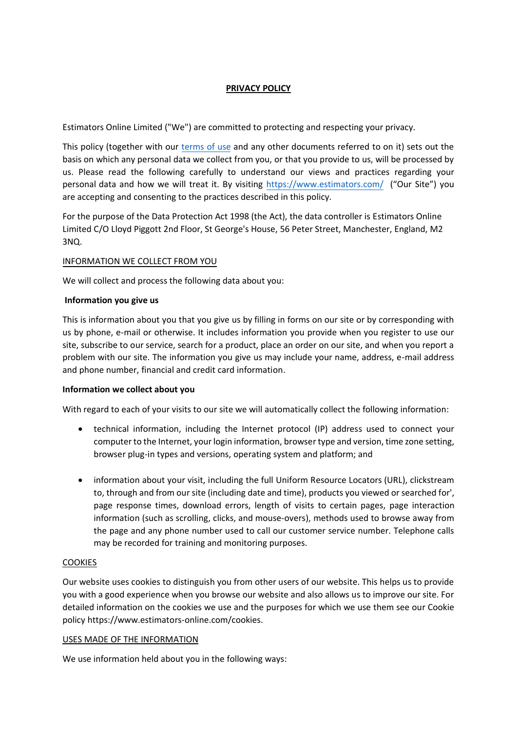# **PRIVACY POLICY**

Estimators Online Limited ("We") are committed to protecting and respecting your privacy.

This policy (together with our [terms](https://www.estimators-online.com/terms_of_use) of use and any other documents referred to on it) sets out the basis on which any personal data we collect from you, or that you provide to us, will be processed by us. Please read the following carefully to understand our views and practices regarding your personal data and how we will treat it. By visiting <https://www.estimators.com/> ("Our Site") you are accepting and consenting to the practices described in this policy.

For the purpose of the Data Protection Act 1998 (the Act), the data controller is Estimators Online Limited C/O Lloyd Piggott 2nd Floor, St George's House, 56 Peter Street, Manchester, England, M2 3NQ.

## INFORMATION WE COLLECT FROM YOU

We will collect and process the following data about you:

#### **Information you give us**

This is information about you that you give us by filling in forms on our site or by corresponding with us by phone, e-mail or otherwise. It includes information you provide when you register to use our site, subscribe to our service, search for a product, place an order on our site, and when you report a problem with our site. The information you give us may include your name, address, e-mail address and phone number, financial and credit card information.

## **Information we collect about you**

With regard to each of your visits to our site we will automatically collect the following information:

- technical information, including the Internet protocol (IP) address used to connect your computer to the Internet, your login information, browser type and version, time zone setting, browser plug-in types and versions, operating system and platform; and
- information about your visit, including the full Uniform Resource Locators (URL), clickstream to, through and from our site (including date and time), products you viewed or searched for', page response times, download errors, length of visits to certain pages, page interaction information (such as scrolling, clicks, and mouse-overs), methods used to browse away from the page and any phone number used to call our customer service number. Telephone calls may be recorded for training and monitoring purposes.

## COOKIES

Our website uses cookies to distinguish you from other users of our website. This helps us to provide you with a good experience when you browse our website and also allows us to improve our site. For detailed information on the cookies we use and the purposes for which we use them see our Cookie policy https://www.estimators-online.com/cookies.

#### USES MADE OF THE INFORMATION

We use information held about you in the following ways: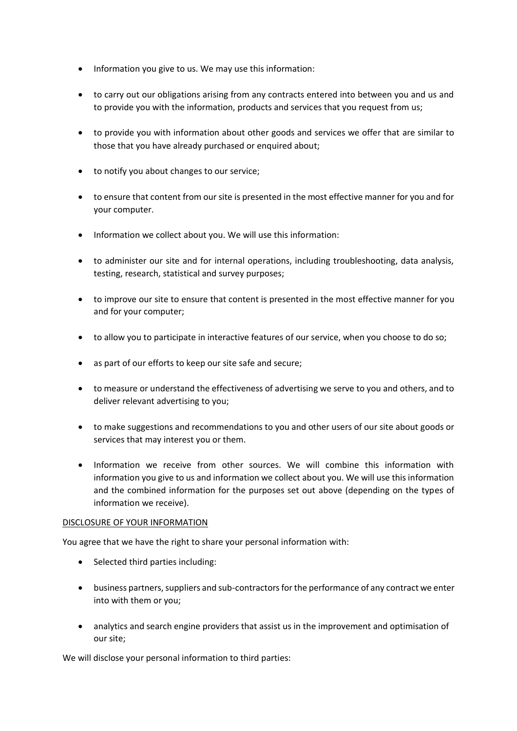- Information you give to us. We may use this information:
- to carry out our obligations arising from any contracts entered into between you and us and to provide you with the information, products and services that you request from us;
- to provide you with information about other goods and services we offer that are similar to those that you have already purchased or enquired about;
- to notify you about changes to our service;
- to ensure that content from our site is presented in the most effective manner for you and for your computer.
- Information we collect about you. We will use this information:
- to administer our site and for internal operations, including troubleshooting, data analysis, testing, research, statistical and survey purposes;
- to improve our site to ensure that content is presented in the most effective manner for you and for your computer;
- to allow you to participate in interactive features of our service, when you choose to do so;
- as part of our efforts to keep our site safe and secure;
- to measure or understand the effectiveness of advertising we serve to you and others, and to deliver relevant advertising to you;
- to make suggestions and recommendations to you and other users of our site about goods or services that may interest you or them.
- Information we receive from other sources. We will combine this information with information you give to us and information we collect about you. We will use this information and the combined information for the purposes set out above (depending on the types of information we receive).

## DISCLOSURE OF YOUR INFORMATION

You agree that we have the right to share your personal information with:

- Selected third parties including:
- business partners, suppliers and sub-contractors for the performance of any contract we enter into with them or you;
- analytics and search engine providers that assist us in the improvement and optimisation of our site;

We will disclose your personal information to third parties: